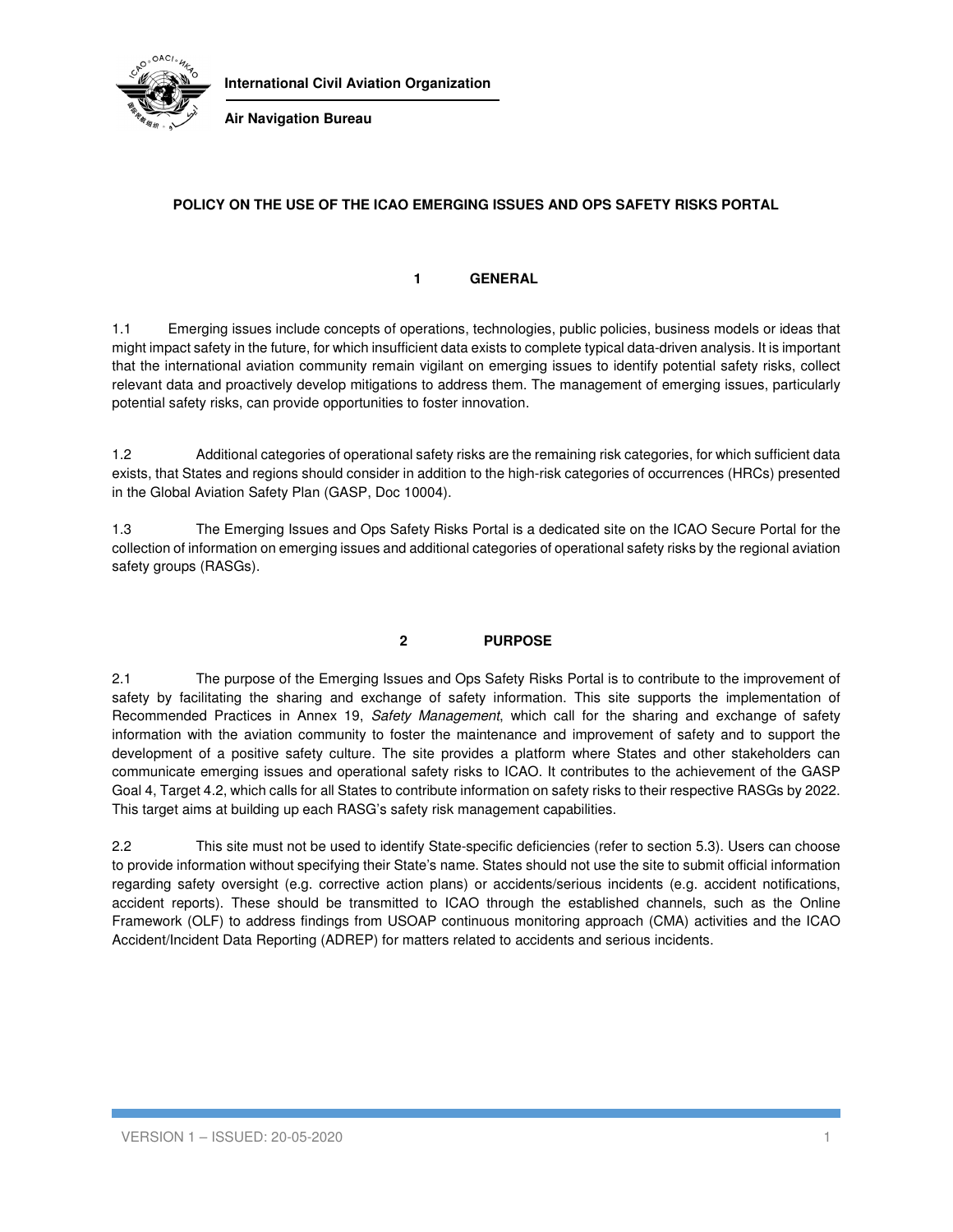

**International Civil Aviation Organization** 

**Air Navigation Bureau**

## **POLICY ON THE USE OF THE ICAO EMERGING ISSUES AND OPS SAFETY RISKS PORTAL**

#### **1 GENERAL**

1.1 Emerging issues include concepts of operations, technologies, public policies, business models or ideas that might impact safety in the future, for which insufficient data exists to complete typical data-driven analysis. It is important that the international aviation community remain vigilant on emerging issues to identify potential safety risks, collect relevant data and proactively develop mitigations to address them. The management of emerging issues, particularly potential safety risks, can provide opportunities to foster innovation.

1.2 Additional categories of operational safety risks are the remaining risk categories, for which sufficient data exists, that States and regions should consider in addition to the high-risk categories of occurrences (HRCs) presented in the Global Aviation Safety Plan (GASP, Doc 10004).

1.3 The Emerging Issues and Ops Safety Risks Portal is a dedicated site on the ICAO Secure Portal for the collection of information on emerging issues and additional categories of operational safety risks by the regional aviation safety groups (RASGs).

### **2 PURPOSE**

2.1 The purpose of the Emerging Issues and Ops Safety Risks Portal is to contribute to the improvement of safety by facilitating the sharing and exchange of safety information. This site supports the implementation of Recommended Practices in Annex 19, Safety Management, which call for the sharing and exchange of safety information with the aviation community to foster the maintenance and improvement of safety and to support the development of a positive safety culture. The site provides a platform where States and other stakeholders can communicate emerging issues and operational safety risks to ICAO. It contributes to the achievement of the GASP Goal 4, Target 4.2, which calls for all States to contribute information on safety risks to their respective RASGs by 2022. This target aims at building up each RASG's safety risk management capabilities.

2.2 This site must not be used to identify State-specific deficiencies (refer to section 5.3). Users can choose to provide information without specifying their State's name. States should not use the site to submit official information regarding safety oversight (e.g. corrective action plans) or accidents/serious incidents (e.g. accident notifications, accident reports). These should be transmitted to ICAO through the established channels, such as the Online Framework (OLF) to address findings from USOAP continuous monitoring approach (CMA) activities and the ICAO Accident/Incident Data Reporting (ADREP) for matters related to accidents and serious incidents.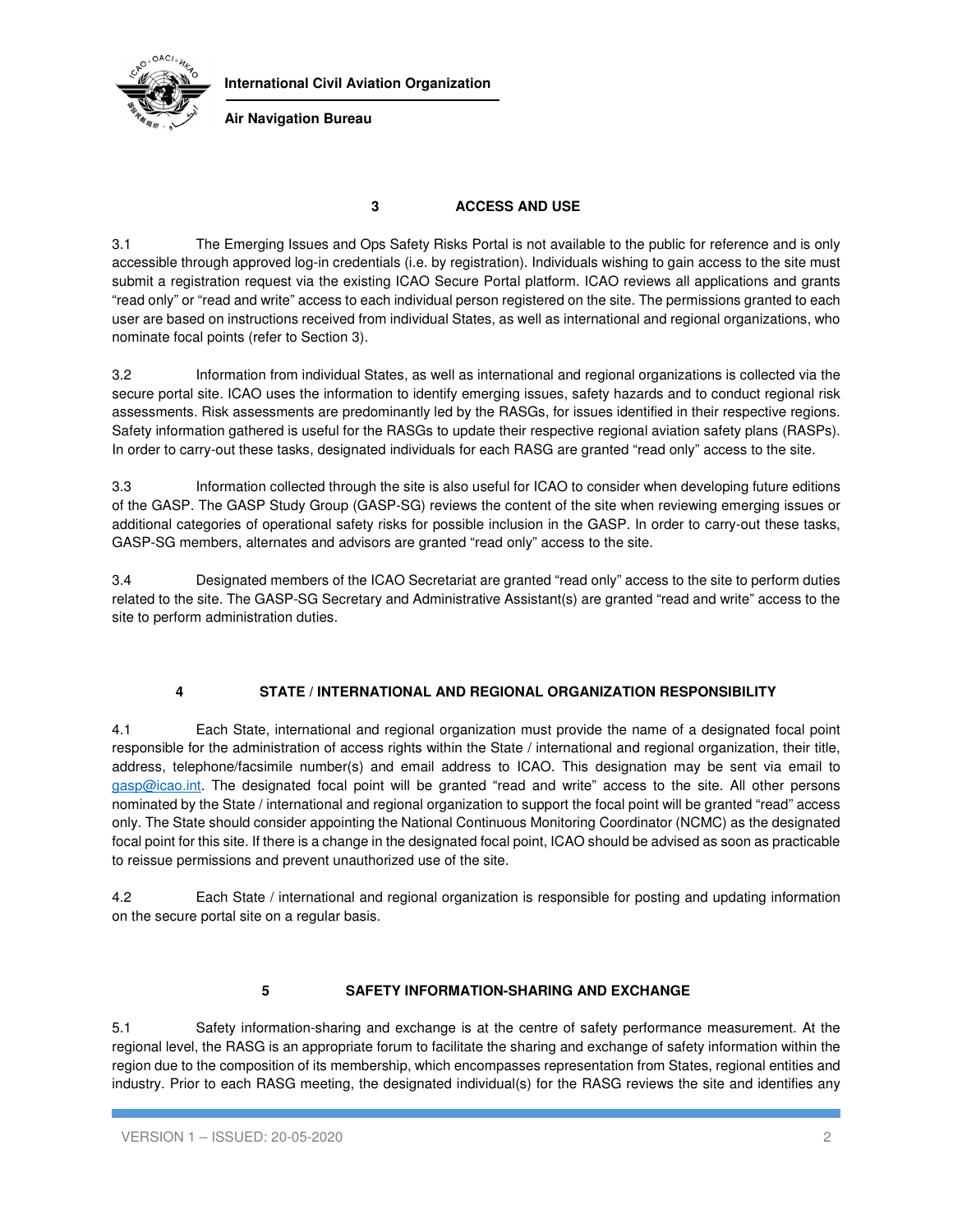

**International Civil Aviation Organization** 

**Air Navigation Bureau**

## **3 ACCESS AND USE**

3.1 The Emerging Issues and Ops Safety Risks Portal is not available to the public for reference and is only accessible through approved log-in credentials (i.e. by registration). Individuals wishing to gain access to the site must submit a registration request via the existing ICAO Secure Portal platform. ICAO reviews all applications and grants "read only" or "read and write" access to each individual person registered on the site. The permissions granted to each user are based on instructions received from individual States, as well as international and regional organizations, who nominate focal points (refer to Section 3).

3.2 Information from individual States, as well as international and regional organizations is collected via the secure portal site. ICAO uses the information to identify emerging issues, safety hazards and to conduct regional risk assessments. Risk assessments are predominantly led by the RASGs, for issues identified in their respective regions. Safety information gathered is useful for the RASGs to update their respective regional aviation safety plans (RASPs). In order to carry-out these tasks, designated individuals for each RASG are granted "read only" access to the site.

3.3 Information collected through the site is also useful for ICAO to consider when developing future editions of the GASP. The GASP Study Group (GASP-SG) reviews the content of the site when reviewing emerging issues or additional categories of operational safety risks for possible inclusion in the GASP. In order to carry-out these tasks, GASP-SG members, alternates and advisors are granted "read only" access to the site.

3.4 Designated members of the ICAO Secretariat are granted "read only" access to the site to perform duties related to the site. The GASP-SG Secretary and Administrative Assistant(s) are granted "read and write" access to the site to perform administration duties.

# **4 STATE / INTERNATIONAL AND REGIONAL ORGANIZATION RESPONSIBILITY**

4.1 Each State, international and regional organization must provide the name of a designated focal point responsible for the administration of access rights within the State / international and regional organization, their title, address, telephone/facsimile number(s) and email address to ICAO. This designation may be sent via email to gasp@icao.int. The designated focal point will be granted "read and write" access to the site. All other persons nominated by the State / international and regional organization to support the focal point will be granted "read" access only. The State should consider appointing the National Continuous Monitoring Coordinator (NCMC) as the designated focal point for this site. If there is a change in the designated focal point, ICAO should be advised as soon as practicable to reissue permissions and prevent unauthorized use of the site.

4.2 Each State / international and regional organization is responsible for posting and updating information on the secure portal site on a regular basis.

### **5 SAFETY INFORMATION-SHARING AND EXCHANGE**

5.1 Safety information-sharing and exchange is at the centre of safety performance measurement. At the regional level, the RASG is an appropriate forum to facilitate the sharing and exchange of safety information within the region due to the composition of its membership, which encompasses representation from States, regional entities and industry. Prior to each RASG meeting, the designated individual(s) for the RASG reviews the site and identifies any